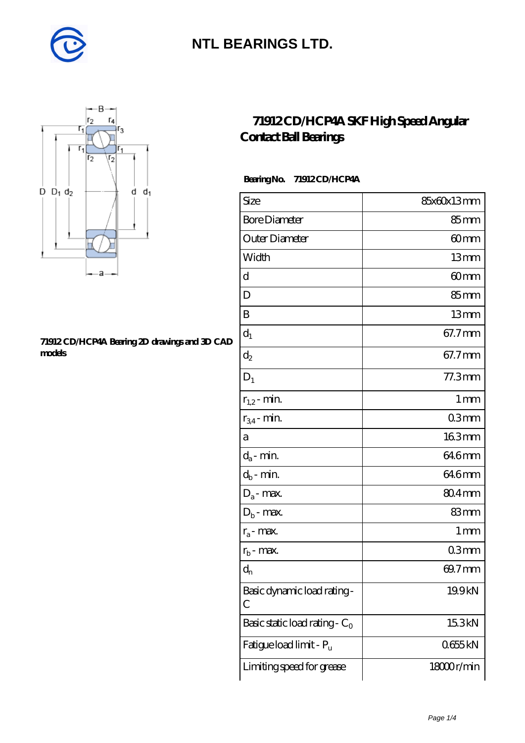



#### **[71912 CD/HCP4A Bearing 2D drawings and 3D CAD](https://diabetesfriends.net/pic-590688.html) [models](https://diabetesfriends.net/pic-590688.html)**

### **[71912 CD/HCP4A SKF High Speed Angular](https://diabetesfriends.net/skf-bearing/71912-cd-hcp4a.html) [Contact Ball Bearings](https://diabetesfriends.net/skf-bearing/71912-cd-hcp4a.html)**

### **Bearing No. 71912 CD/HCP4A**

| Size                             | 85x60x13mm        |
|----------------------------------|-------------------|
| <b>Bore Diameter</b>             | 85mm              |
| Outer Diameter                   | 60mm              |
| Width                            | 13mm              |
| d                                | 60mm              |
| D                                | $85 \text{mm}$    |
| B                                | 13mm              |
| $d_1$                            | 67.7mm            |
| $\mathrm{d}_2$                   | 67.7mm            |
| $D_1$                            | 77.3mm            |
| $r_{1,2}$ - min.                 | 1 <sub>mm</sub>   |
| $r_{34}$ - min.                  | 03mm              |
| а                                | 163mm             |
| $d_a$ - min.                     | 64.6mm            |
| $d_b$ - min.                     | 646mm             |
| $D_a$ - max.                     | 80.4mm            |
| $D_b$ - max.                     | 83mm              |
| $r_a$ - max.                     | $1 \,\mathrm{mm}$ |
| $r_{b}$ - max.                   | 03mm              |
| $d_{n}$                          | 69.7mm            |
| Basic dynamic load rating-<br>С  | 19.9kN            |
| Basic static load rating - $C_0$ | 15.3kN            |
| Fatigue load limit - Pu          | 0655kN            |
| Limiting speed for grease        | 18000r/min        |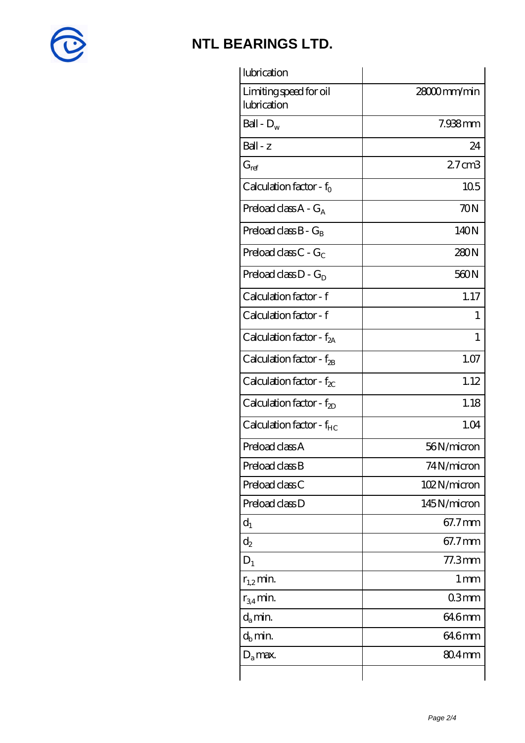

| lubrication                           |                   |
|---------------------------------------|-------------------|
| Limiting speed for oil<br>lubrication | 28000mm/min       |
| Ball - $D_w$                          | 7.938mm           |
| Ball - z                              | 24                |
| $G_{ref}$                             | 27 <sub>cm3</sub> |
| Calculation factor - $f_0$            | 105               |
| Preload class $A - G_A$               | 70N               |
| Preload class B - G <sub>B</sub>      | 140N              |
| Preload class $C - G_C$               | 280N              |
| Preload class $D - G_D$               | 560N              |
| Calculation factor - f                | 1.17              |
| Calculation factor - f                | $\mathbf{I}$      |
| Calculation factor - $f_{2A}$         | 1                 |
| Calculation factor - $f_{2B}$         | 1.07              |
| Calculation factor - $f_{\chi}$       | 1.12              |
| Calculation factor - $f_{2D}$         | 1.18              |
| Calculation factor - f <sub>HC</sub>  | 1.04              |
| Preload class A                       | 56N/micron        |
| Preload class B                       | 74N/micron        |
| Preload class C                       | 102N/micron       |
| Preload class D                       | 145N/micron       |
| $d_1$                                 | 67.7mm            |
| $\mathrm{d}_2$                        | 67.7mm            |
| $D_1$                                 | 77.3mm            |
| $r_{1,2}$ min.                        | 1 mm              |
| $r_{34}$ min.                         | 03mm              |
| $d_{a}$ min.                          | 64.6mm            |
| $d_b$ min.                            | 64.6mm            |
| $D_a$ max.                            | $804$ mm          |
|                                       |                   |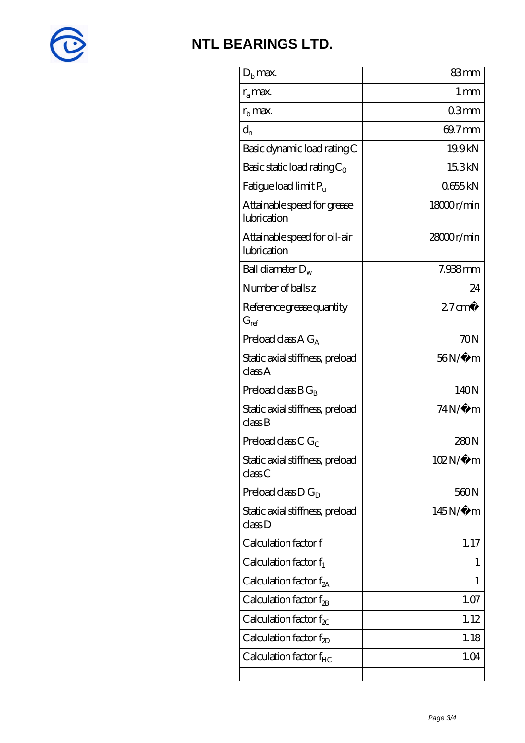

| 83mm              |
|-------------------|
| $1 \,\mathrm{mm}$ |
| 03mm              |
| 69.7mm            |
| 19.9kN            |
| 15.3kN            |
| 0655kN            |
| 18000r/min        |
| 28000r/min        |
| 7.938mm           |
| 24                |
| $27 \text{ cm}^3$ |
| 70N               |
| 56N/μ m           |
| 140N              |
| 74N/µ m           |
| 280N              |
| 102N/μ m          |
| 560N              |
| $145N/\mu$ m      |
| 1.17              |
| 1                 |
| 1                 |
| 1.07              |
| 1.12              |
| 1.18              |
| 1.04              |
|                   |